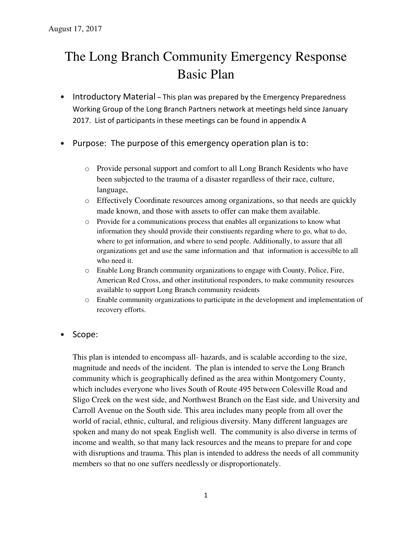# The Long Branch Community Emergency Response Basic Plan

- Introductory Material This plan was prepared by the Emergency Preparedness Working Group of the Long Branch Partners network at meetings held since January 2017. List of participants in these meetings can be found in appendix A
- Purpose: The purpose of this emergency operation plan is to:
	- o Provide personal support and comfort to all Long Branch Residents who have been subjected to the trauma of a disaster regardless of their race, culture, language,
	- o Effectively Coordinate resources among organizations, so that needs are quickly made known, and those with assets to offer can make them available.
	- o Provide for a communications process that enables all organizations to know what information they should provide their constiuents regarding where to go, what to do, where to get information, and where to send people. Additionally, to assure that all organizations get and use the same information and that information is accessible to all who need it.
	- o Enable Long Branch community organizations to engage with County, Police, Fire, American Red Cross, and other institutional responders, to make community resources available to support Long Branch community residents
	- o Enable community organizations to participate in the development and implementation of recovery efforts.
- Scope:

This plan is intended to encompass all- hazards, and is scalable according to the size, magnitude and needs of the incident. The plan is intended to serve the Long Branch community which is geographically defined as the area within Montgomery County, which includes everyone who lives South of Route 495 between Colesville Road and Sligo Creek on the west side, and Northwest Branch on the East side, and University and Carroll Avenue on the South side. This area includes many people from all over the world of racial, ethnic, cultural, and religious diversity. Many different languages are spoken and many do not speak English well. The community is also diverse in terms of income and wealth, so that many lack resources and the means to prepare for and cope with disruptions and trauma. This plan is intended to address the needs of all community members so that no one suffers needlessly or disproportionately.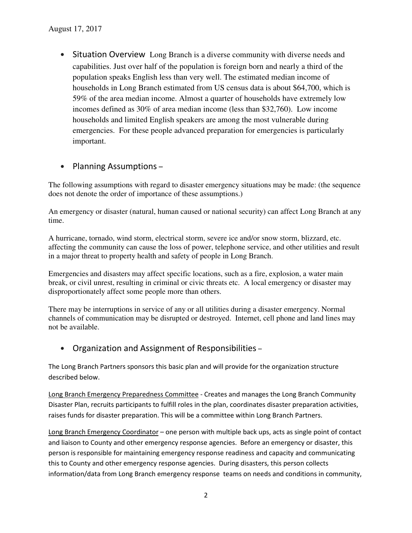• Situation Overview Long Branch is a diverse community with diverse needs and capabilities. Just over half of the population is foreign born and nearly a third of the population speaks English less than very well. The estimated median income of households in Long Branch estimated from US census data is about \$64,700, which is 59% of the area median income. Almost a quarter of households have extremely low incomes defined as 30% of area median income (less than \$32,760). Low income households and limited English speakers are among the most vulnerable during emergencies. For these people advanced preparation for emergencies is particularly important.

## • Planning Assumptions –

The following assumptions with regard to disaster emergency situations may be made: (the sequence does not denote the order of importance of these assumptions.)

An emergency or disaster (natural, human caused or national security) can affect Long Branch at any time.

A hurricane, tornado, wind storm, electrical storm, severe ice and/or snow storm, blizzard, etc. affecting the community can cause the loss of power, telephone service, and other utilities and result in a major threat to property health and safety of people in Long Branch.

Emergencies and disasters may affect specific locations, such as a fire, explosion, a water main break, or civil unrest, resulting in criminal or civic threats etc. A local emergency or disaster may disproportionately affect some people more than others.

There may be interruptions in service of any or all utilities during a disaster emergency. Normal channels of communication may be disrupted or destroyed. Internet, cell phone and land lines may not be available.

## • Organization and Assignment of Responsibilities –

The Long Branch Partners sponsors this basic plan and will provide for the organization structure described below.

Long Branch Emergency Preparedness Committee - Creates and manages the Long Branch Community Disaster Plan, recruits participants to fulfill roles in the plan, coordinates disaster preparation activities, raises funds for disaster preparation. This will be a committee within Long Branch Partners.

Long Branch Emergency Coordinator – one person with multiple back ups, acts as single point of contact and liaison to County and other emergency response agencies. Before an emergency or disaster, this person is responsible for maintaining emergency response readiness and capacity and communicating this to County and other emergency response agencies. During disasters, this person collects information/data from Long Branch emergency response teams on needs and conditions in community,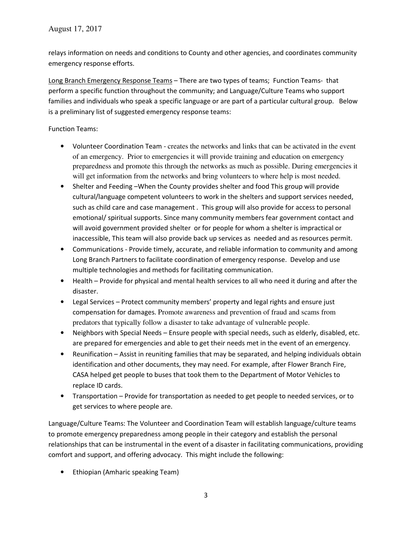relays information on needs and conditions to County and other agencies, and coordinates community emergency response efforts.

Long Branch Emergency Response Teams – There are two types of teams; Function Teams- that perform a specific function throughout the community; and Language/Culture Teams who support families and individuals who speak a specific language or are part of a particular cultural group. Below is a preliminary list of suggested emergency response teams:

#### Function Teams:

- Volunteer Coordination Team creates the networks and links that can be activated in the event of an emergency. Prior to emergencies it will provide training and education on emergency preparedness and promote this through the networks as much as possible. During emergencies it will get information from the networks and bring volunteers to where help is most needed.
- Shelter and Feeding –When the County provides shelter and food This group will provide cultural/language competent volunteers to work in the shelters and support services needed, such as child care and case management . This group will also provide for access to personal emotional/ spiritual supports. Since many community members fear government contact and will avoid government provided shelter or for people for whom a shelter is impractical or inaccessible, This team will also provide back up services as needed and as resources permit.
- Communications Provide timely, accurate, and reliable information to community and among Long Branch Partners to facilitate coordination of emergency response. Develop and use multiple technologies and methods for facilitating communication.
- Health Provide for physical and mental health services to all who need it during and after the disaster.
- Legal Services Protect community members' property and legal rights and ensure just compensation for damages. Promote awareness and prevention of fraud and scams from predators that typically follow a disaster to take advantage of vulnerable people.
- Neighbors with Special Needs Ensure people with special needs, such as elderly, disabled, etc. are prepared for emergencies and able to get their needs met in the event of an emergency.
- Reunification Assist in reuniting families that may be separated, and helping individuals obtain identification and other documents, they may need. For example, after Flower Branch Fire, CASA helped get people to buses that took them to the Department of Motor Vehicles to replace ID cards.
- Transportation Provide for transportation as needed to get people to needed services, or to get services to where people are.

Language/Culture Teams: The Volunteer and Coordination Team will establish language/culture teams to promote emergency preparedness among people in their category and establish the personal relationships that can be instrumental in the event of a disaster in facilitating communications, providing comfort and support, and offering advocacy. This might include the following:

• Ethiopian (Amharic speaking Team)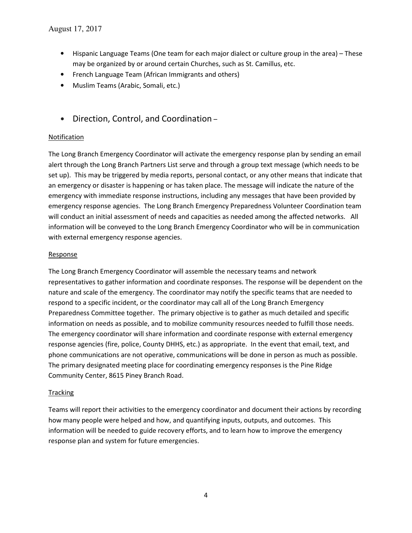- Hispanic Language Teams (One team for each major dialect or culture group in the area) These may be organized by or around certain Churches, such as St. Camillus, etc.
- French Language Team (African Immigrants and others)
- Muslim Teams (Arabic, Somali, etc.)
- Direction, Control, and Coordination –

### Notification

The Long Branch Emergency Coordinator will activate the emergency response plan by sending an email alert through the Long Branch Partners List serve and through a group text message (which needs to be set up). This may be triggered by media reports, personal contact, or any other means that indicate that an emergency or disaster is happening or has taken place. The message will indicate the nature of the emergency with immediate response instructions, including any messages that have been provided by emergency response agencies. The Long Branch Emergency Preparedness Volunteer Coordination team will conduct an initial assessment of needs and capacities as needed among the affected networks. All information will be conveyed to the Long Branch Emergency Coordinator who will be in communication with external emergency response agencies.

#### Response

The Long Branch Emergency Coordinator will assemble the necessary teams and network representatives to gather information and coordinate responses. The response will be dependent on the nature and scale of the emergency. The coordinator may notify the specific teams that are needed to respond to a specific incident, or the coordinator may call all of the Long Branch Emergency Preparedness Committee together. The primary objective is to gather as much detailed and specific information on needs as possible, and to mobilize community resources needed to fulfill those needs. The emergency coordinator will share information and coordinate response with external emergency response agencies (fire, police, County DHHS, etc.) as appropriate. In the event that email, text, and phone communications are not operative, communications will be done in person as much as possible. The primary designated meeting place for coordinating emergency responses is the Pine Ridge Community Center, 8615 Piney Branch Road.

#### **Tracking**

Teams will report their activities to the emergency coordinator and document their actions by recording how many people were helped and how, and quantifying inputs, outputs, and outcomes. This information will be needed to guide recovery efforts, and to learn how to improve the emergency response plan and system for future emergencies.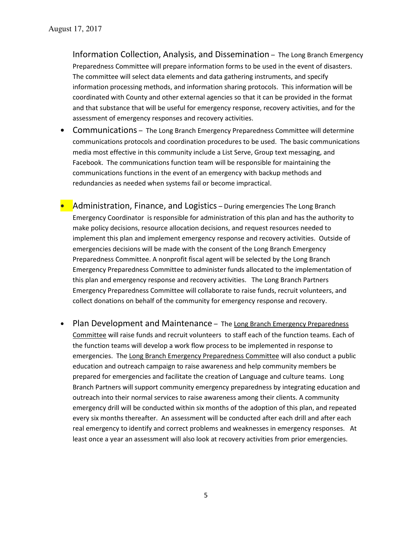Information Collection, Analysis, and Dissemination – The Long Branch Emergency Preparedness Committee will prepare information forms to be used in the event of disasters. The committee will select data elements and data gathering instruments, and specify information processing methods, and information sharing protocols. This information will be coordinated with County and other external agencies so that it can be provided in the format and that substance that will be useful for emergency response, recovery activities, and for the assessment of emergency responses and recovery activities.

- Communications The Long Branch Emergency Preparedness Committee will determine communications protocols and coordination procedures to be used. The basic communications media most effective in this community include a List Serve, Group text messaging, and Facebook. The communications function team will be responsible for maintaining the communications functions in the event of an emergency with backup methods and redundancies as needed when systems fail or become impractical.
- Administration, Finance, and Logistics During emergencies The Long Branch Emergency Coordinator is responsible for administration of this plan and has the authority to make policy decisions, resource allocation decisions, and request resources needed to implement this plan and implement emergency response and recovery activities. Outside of emergencies decisions will be made with the consent of the Long Branch Emergency Preparedness Committee. A nonprofit fiscal agent will be selected by the Long Branch Emergency Preparedness Committee to administer funds allocated to the implementation of this plan and emergency response and recovery activities. The Long Branch Partners Emergency Preparedness Committee will collaborate to raise funds, recruit volunteers, and collect donations on behalf of the community for emergency response and recovery.
- Plan Development and Maintenance The Long Branch Emergency Preparedness Committee will raise funds and recruit volunteers to staff each of the function teams. Each of the function teams will develop a work flow process to be implemented in response to emergencies. The Long Branch Emergency Preparedness Committee will also conduct a public education and outreach campaign to raise awareness and help community members be prepared for emergencies and facilitate the creation of Language and culture teams. Long Branch Partners will support community emergency preparedness by integrating education and outreach into their normal services to raise awareness among their clients. A community emergency drill will be conducted within six months of the adoption of this plan, and repeated every six months thereafter. An assessment will be conducted after each drill and after each real emergency to identify and correct problems and weaknesses in emergency responses. At least once a year an assessment will also look at recovery activities from prior emergencies.